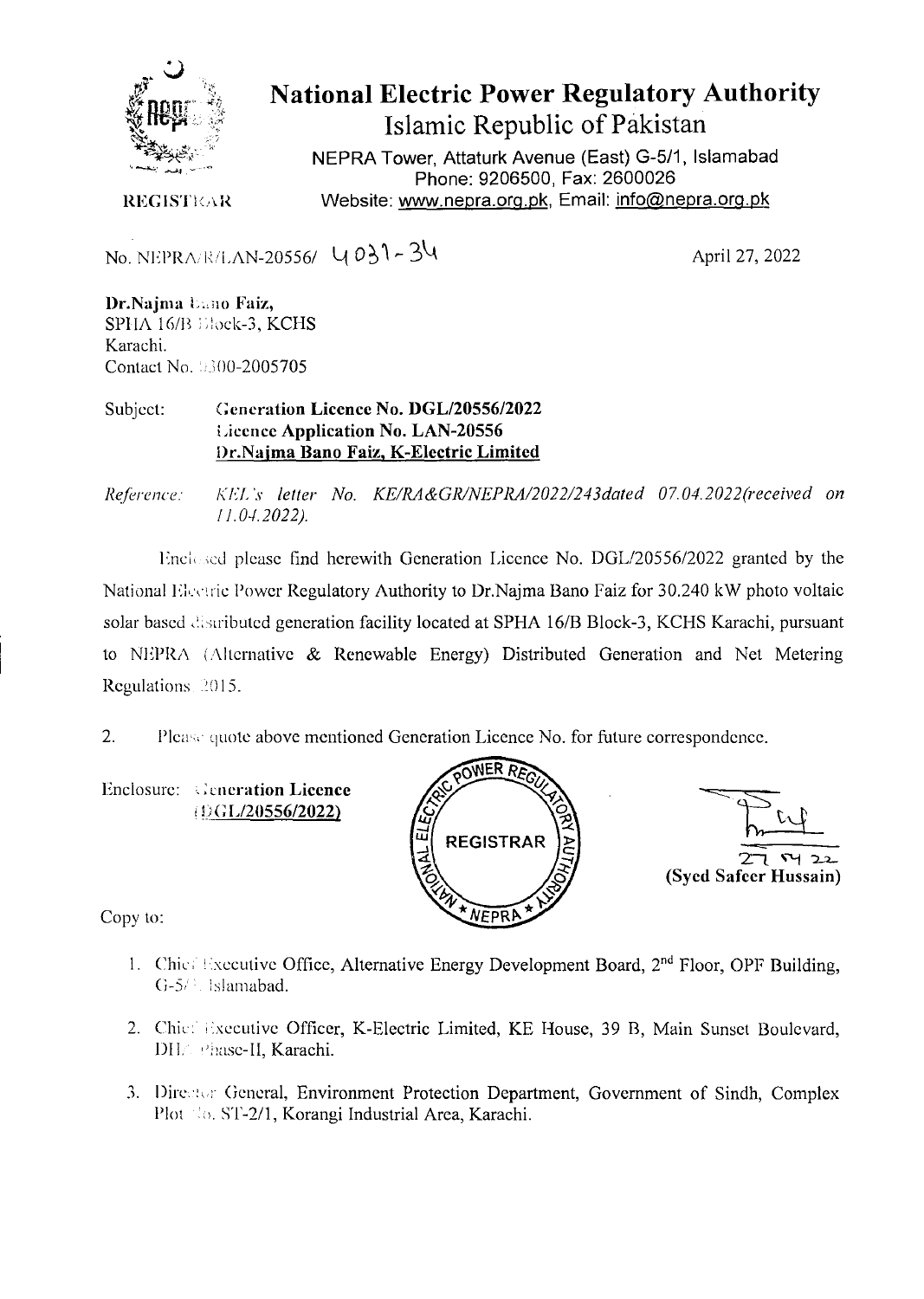

## **National Electric Power Regulatory Authority Islamic Republic of Pakistan**

NEPRA Tower, Attaturk Avenue (East) G-5/1, Islamabad Phone: 9206500, Fax: 2600026 **REGISTIGR** Website: www.nepra.org.pk, Email: info@nepra.org.pk

No. NEPRA..I/LAN-20556/ *4 O* 

April 27, 2022

Dr.Najma **Enno Faiz**, SPHA 16/B Elock-3, KCHS Karachi. *Contact* No. *;00-2005705* 

Subject: **Generation Licence No. DGL/20556/2022 Licence Application No. LAN-20556 i)r.Najma Bano Faiz, K-Electric Limited** 

*Rejerence: KEL .r letter No. KE/RA&GR/NEPRA/2022/243dated 07.04.2022(received on 11.0-1.2022).* 

linclesed please find herewith Generation Licence No. DGL/20556/2022 granted by the National Electric Power Regulatory Authority to Dr.Najma Bano Faiz for 30.240 kW photo voltaic solar based distributed generation facility located at SPHA 16/B Block-3, KCHS Karachi, pursuant to NEPRA (Alternative & Renewable Energy) Distributed Generation and Net Metering Regulations 2015.

2. Please quote above mentioned Generation Licence No. for future correspondence.

Enclosure: Generation Licence *:GL/20556I2O22)* 





Copy to:

- 1. Chie  $\exists$  xecutive Office, Alternative Energy Development Board,  $2<sup>nd</sup>$  Floor, OPF Building, *G-5/<sup>3</sup>*. Islamabad.
- 2. Chic: Executive Officer, K-Electric Limited, KE House, 39 B, Main Sunset Boulevard, 1)11: *Thac*-11, Karachi.
- 3. Director General, Environment Protection Department, Government of Sindh, Complex Plot No. ST-2/1, Korangi Industrial Area, Karachi.